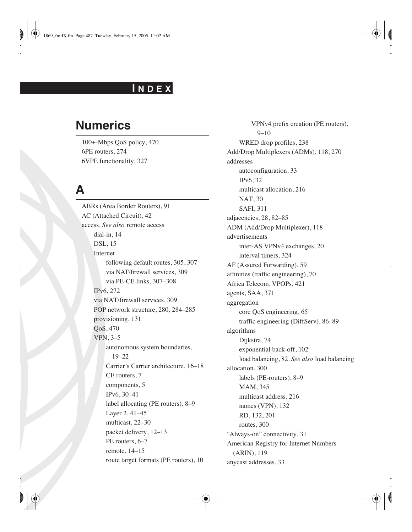#### **I N D E X**

### **Numerics**

100+-Mbps QoS policy, 470 6PE routers, 274 6VPE functionality, 327

#### **A**

ABRs (Area Border Routers), 91 AC (Attached Circuit), 42 access. *See also* remote access dial-in, 14 DSL, 15 Internet following default routes, 305, 307 via NAT/firewall services, 309 via PE-CE links, 307–308 IPv6, 272 via NAT/firewall services, 309 POP network structure, 280, 284–285 provisioning, 131 QoS, 470 VPN, 3–5 autonomous system boundaries, 19–22 Carrier's Carrier architecture, 16–18 CE routers, 7 components, 5 IPv6, 30–41 label allocating (PE routers), 8–9 Layer 2, 41–45 multicast, 22–30 packet delivery, 12–13 PE routers, 6–7 remote, 14–15 route target formats (PE routers), 10

VPNv4 prefix creation (PE routers), 9–10 WRED drop profiles, 238 Add/Drop Multiplexers (ADMs), 118, 270 addresses autoconfiguration, 33 IPv6, 32 multicast allocation, 216 NAT, 30 SAFI, 311 adjacencies, 28, 82–85 ADM (Add/Drop Multiplexer), 118 advertisements inter-AS VPNv4 exchanges, 20 interval timers, 324 AF (Assured Forwarding), 59 affinities (traffic engineering), 70 Africa Telecom, VPOPs, 421 agents, SAA, 371 aggregation core QoS engineering, 65 traffic engineering (DiffServ), 86–89 algorithms Dijkstra, 74 exponential back-off, 102 load balancing, 82. *See also* load balancing allocation, 300 labels (PE-routers), 8–9 MAM, 345 multicast address, 216 names (VPN), 132 RD, 132, 201 routes, 300 "Always-on" connectivity, 31 American Registry for Internet Numbers (ARIN), 119 anycast addresses, 33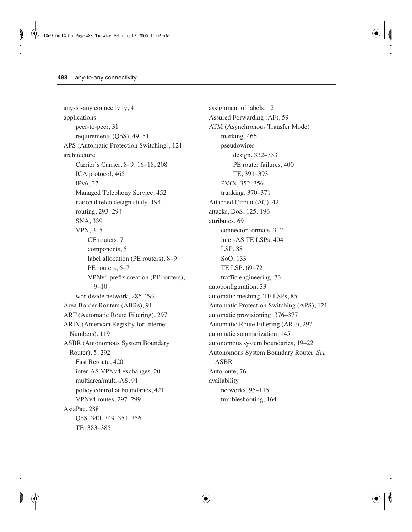any-to-any connectivity, 4 applications peer-to-peer, 31 requirements (QoS), 49–51 APS (Automatic Protection Switching), 121 architecture Carrier's Carrier, 8–9, 16–18, 208 ICA protocol, 465 IPv6, 37 Managed Telephony Service, 452 national telco design study, 194 routing, 293–294 SNA, 339 VPN, 3–5 CE routers, 7 components, 5 label allocation (PE routers), 8–9 PE routers, 6–7 VPNv4 prefix creation (PE routers),  $9 - 10$ worldwide network, 286–292 Area Border Routers (ABRs), 91 ARF (Automatic Route Filtering), 297 ARIN (American Registry for Internet Numbers), 119 ASBR (Autonomous System Boundary Router), 5, 292 Fast Reroute, 420 inter-AS VPNv4 exchanges, 20 multiarea/multi-AS, 91 policy control at boundaries, 421 VPNv4 routes, 297–299 AsiaPac, 288 QoS, 340–349, 351–356 TE, 383–385

assignment of labels, 12 Assured Forwarding (AF), 59 ATM (Asynchronous Transfer Mode) marking, 466 pseudowires design, 332–333 PE router failures, 400 TE, 391–393 PVCs, 352–356 trunking, 370–371 Attached Circuit (AC), 42 attacks, DoS, 125, 196 attributes, 69 connector formats, 312 inter-AS TE LSPs, 404 LSP, 88 SoO, 133 TE LSP, 69–72 traffic engineering, 73 autoconfiguration, 33 automatic meshing, TE LSPs, 85 Automatic Protection Switching (APS), 121 automatic provisioning, 376–377 Automatic Route Filtering (ARF), 297 automatic summarization, 145 autonomous system boundaries, 19–22 Autonomous System Boundary Router. *See* ASBR Autoroute, 76 availability networks, 95–115 troubleshooting, 164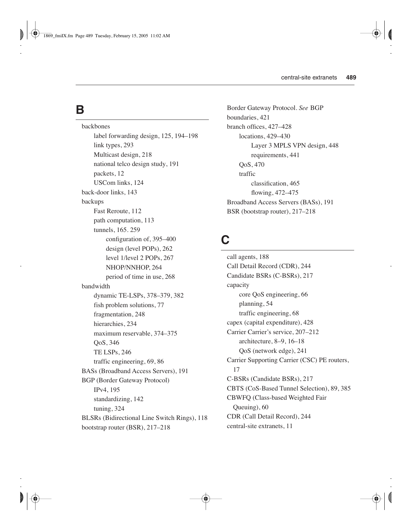### **B**

backbones label forwarding design, 125, 194–198 link types, 293 Multicast design, 218 national telco design study, 191 packets, 12 USCom links, 124 back-door links, 143 backups Fast Reroute, 112 path computation, 113 tunnels, 165. 259 configuration of, 395–400 design (level POPs), 262 level 1/level 2 POPs, 267 NHOP/NNHOP, 264 period of time in use, 268 bandwidth dynamic TE-LSPs, 378–379, 382 fish problem solutions, 77 fragmentation, 248 hierarchies, 234 maximum reservable, 374–375 QoS, 346 TE LSPs, 246 traffic engineering, 69, 86 BASs (Broadband Access Servers), 191 BGP (Border Gateway Protocol) IPv4, 195 standardizing, 142 tuning, 324 BLSRs (Bidirectional Line Switch Rings), 118 bootstrap router (BSR), 217–218

Border Gateway Protocol. *See* BGP boundaries, 421 branch offices, 427–428 locations, 429–430 Layer 3 MPLS VPN design, 448 requirements, 441 QoS, 470 traffic classification, 465 flowing, 472–475 Broadband Access Servers (BASs), 191 BSR (bootstrap router), 217–218

# **C**

call agents, 188 Call Detail Record (CDR), 244 Candidate BSRs (C-BSRs), 217 capacity core QoS engineering, 66 planning, 54 traffic engineering, 68 capex (capital expenditure), 428 Carrier Carrier's service, 207–212 architecture, 8–9, 16–18 QoS (network edge), 241 Carrier Supporting Carrier (CSC) PE routers, 17 C-BSRs (Candidate BSRs), 217 CBTS (CoS-Based Tunnel Selection), 89, 385 CBWFQ (Class-based Weighted Fair Queuing), 60 CDR (Call Detail Record), 244 central-site extranets, 11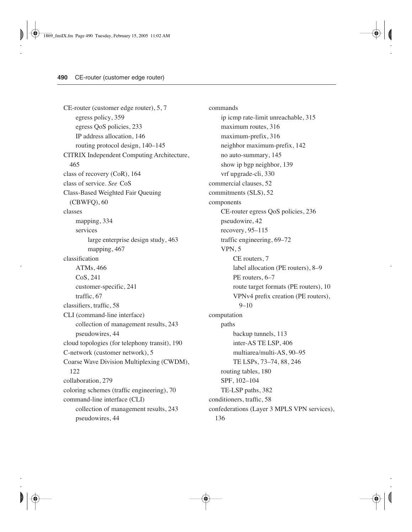CE-router (customer edge router), 5, 7 egress policy, 359 egress QoS policies, 233 IP address allocation, 146 routing protocol design, 140–145 CITRIX Independent Computing Architecture, 465 class of recovery (CoR), 164 class of service. *See* CoS Class-Based Weighted Fair Queuing (CBWFQ), 60 classes mapping, 334 services large enterprise design study, 463 mapping, 467 classification ATMs, 466 CoS, 241 customer-specific, 241 traffic, 67 classifiers, traffic, 58 CLI (command-line interface) collection of management results, 243 pseudowires, 44 cloud topologies (for telephony transit), 190 C-network (customer network), 5 Coarse Wave Division Multiplexing (CWDM), 122 collaboration, 279 coloring schemes (traffic engineering), 70 command-line interface (CLI) collection of management results, 243 pseudowires, 44

commands ip icmp rate-limit unreachable, 315 maximum routes, 316 maximum-prefix, 316 neighbor maximum-prefix, 142 no auto-summary, 145 show ip bgp neighbor, 139 vrf upgrade-cli, 330 commercial clauses, 52 commitments (SLS), 52 components CE-router egress QoS policies, 236 pseudowire, 42 recovery, 95–115 traffic engineering, 69–72 VPN, 5 CE routers, 7 label allocation (PE routers), 8–9 PE routers, 6–7 route target formats (PE routers), 10 VPNv4 prefix creation (PE routers), 9–10 computation paths backup tunnels, 113 inter-AS TE LSP, 406 multiarea/multi-AS, 90–95 TE LSPs, 73–74, 88, 246 routing tables, 180 SPF, 102–104 TE-LSP paths, 382 conditioners, traffic, 58 confederations (Layer 3 MPLS VPN services), 136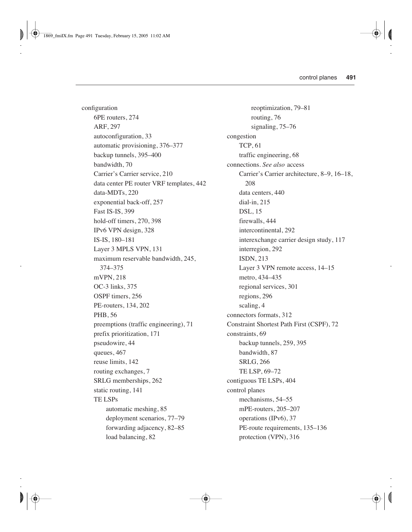configuration 6PE routers, 274 ARF, 297 autoconfiguration, 33 automatic provisioning, 376–377 backup tunnels, 395–400 bandwidth, 70 Carrier's Carrier service, 210 data center PE router VRF templates, 442 data-MDTs, 220 exponential back-off, 257 Fast IS-IS, 399 hold-off timers, 270, 398 IPv6 VPN design, 328 IS-IS, 180–181 Layer 3 MPLS VPN, 131 maximum reservable bandwidth, 245, 374–375 mVPN, 218 OC-3 links, 375 OSPF timers, 256 PE-routers, 134, 202 PHB, 56 preemptions (traffic engineering), 71 prefix prioritization, 171 pseudowire, 44 queues, 467 reuse limits, 142 routing exchanges, 7 SRLG memberships, 262 static routing, 141 TE LSPs automatic meshing, 85 deployment scenarios, 77–79 forwarding adjacency, 82–85 load balancing, 82

reoptimization, 79–81 routing, 76 signaling, 75–76 congestion TCP, 61 traffic engineering, 68 connections. *See also* access Carrier's Carrier architecture, 8–9, 16–18, 208 data centers, 440 dial-in, 215 DSL, 15 firewalls, 444 intercontinental, 292 interexchange carrier design study, 117 interregion, 292 ISDN, 213 Layer 3 VPN remote access, 14–15 metro, 434–435 regional services, 301 regions, 296 scaling, 4 connectors formats, 312 Constraint Shortest Path First (CSPF), 72 constraints, 69 backup tunnels, 259, 395 bandwidth, 87 SRLG, 266 TE LSP, 69–72 contiguous TE LSPs, 404 control planes mechanisms, 54–55 mPE-routers, 205–207 operations (IPv6), 37 PE-route requirements, 135–136 protection (VPN), 316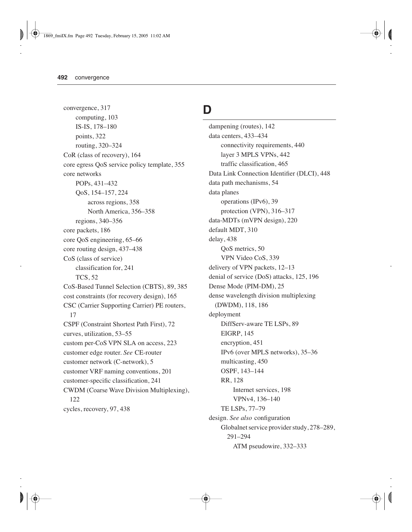convergence, 317 computing, 103 IS-IS, 178–180 points, 322 routing, 320–324 CoR (class of recovery), 164 core egress QoS service policy template, 355 core networks POPs, 431–432 QoS, 154–157, 224 across regions, 358 North America, 356–358 regions, 340–356 core packets, 186 core QoS engineering, 65–66 core routing design, 437–438 CoS (class of service) classification for, 241 TCS, 52 CoS-Based Tunnel Selection (CBTS), 89, 385 cost constraints (for recovery design), 165 CSC (Carrier Supporting Carrier) PE routers, 17 CSPF (Constraint Shortest Path First), 72 curves, utilization, 53–55 custom per-CoS VPN SLA on access, 223 customer edge router. *See* CE-router customer network (C-network), 5 customer VRF naming conventions, 201 customer-specific classification, 241 CWDM (Coarse Wave Division Multiplexing), 122 cycles, recovery, 97, 438

#### **D**

dampening (routes), 142 data centers, 433–434 connectivity requirements, 440 layer 3 MPLS VPNs, 442 traffic classification, 465 Data Link Connection Identifier (DLCI), 448 data path mechanisms, 54 data planes operations (IPv6), 39 protection (VPN), 316–317 data-MDTs (mVPN design), 220 default MDT, 310 delay, 438 QoS metrics, 50 VPN Video CoS, 339 delivery of VPN packets, 12–13 denial of service (DoS) attacks, 125, 196 Dense Mode (PIM-DM), 25 dense wavelength division multiplexing (DWDM), 118, 186 deployment DiffServ-aware TE LSPs, 89 EIGRP, 145 encryption, 451 IPv6 (over MPLS networks), 35–36 multicasting, 450 OSPF, 143–144 RR, 128 Internet services, 198 VPNv4, 136–140 TE LSPs, 77–79 design. *See also* configuration Globalnet service provider study, 278–289, 291–294 ATM pseudowire, 332–333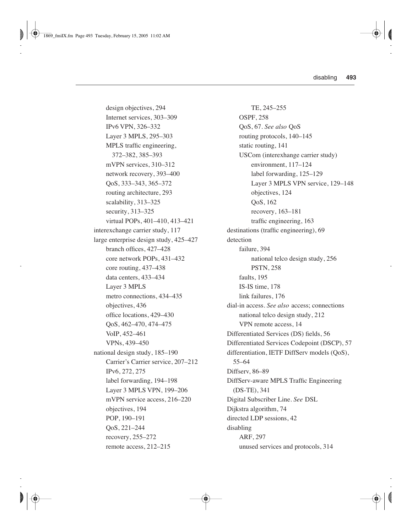design objectives, 294 Internet services, 303–309 IPv6 VPN, 326–332 Layer 3 MPLS, 295–303 MPLS traffic engineering, 372–382, 385–393 mVPN services, 310–312 network recovery, 393–400 QoS, 333–343, 365–372 routing architecture, 293 scalability, 313–325 security, 313–325 virtual POPs, 401–410, 413–421 interexchange carrier study, 117 large enterprise design study, 425–427 branch offices, 427–428 core network POPs, 431–432 core routing, 437–438 data centers, 433–434 Layer 3 MPLS metro connections, 434–435 objectives, 436 office locations, 429–430 QoS, 462–470, 474–475 VoIP, 452–461 VPNs, 439–450 national design study, 185–190 Carrier's Carrier service, 207–212 IPv6, 272, 275 label forwarding, 194–198 Layer 3 MPLS VPN, 199–206 mVPN service access, 216–220 objectives, 194 POP, 190–191 QoS, 221–244 recovery, 255–272 remote access, 212–215

TE, 245–255 OSPF, 258 QoS, 67. *See also* QoS routing protocols, 140–145 static routing, 141 USCom (interexhange carrier study) environment, 117–124 label forwarding, 125–129 Layer 3 MPLS VPN service, 129–148 objectives, 124 QoS, 162 recovery, 163–181 traffic engineering, 163 destinations (traffic engineering), 69 detection failure, 394 national telco design study, 256 PSTN, 258 faults, 195 IS-IS time, 178 link failures, 176 dial-in access. *See also* access; connections national telco design study, 212 VPN remote access, 14 Differentiated Services (DS) fields, 56 Differentiated Services Codepoint (DSCP), 57 differentiation, IETF DiffServ models (QoS), 55–64 Diffserv, 86–89 DiffServ-aware MPLS Traffic Engineering (DS-TE), 341 Digital Subscriber Line. *See* DSL Dijkstra algorithm, 74 directed LDP sessions, 42 disabling ARF, 297 unused services and protocols, 314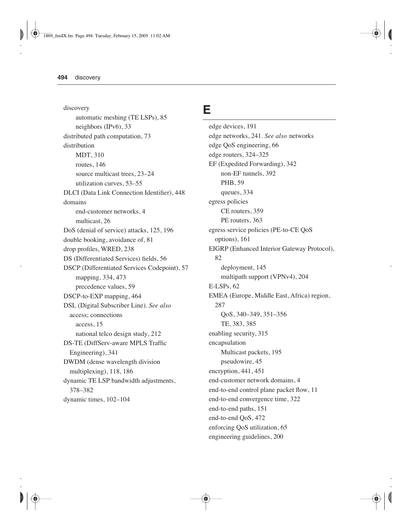discovery automatic meshing (TE LSPs), 85 neighbors (IPv6), 33 distributed path computation, 73 distribution MDT, 310 routes, 146 source multicast trees, 23–24 utilization curves, 53–55 DLCI (Data Link Connection Identifier), 448 domains end-customer networks, 4 multicast, 26 DoS (denial of service) attacks, 125, 196 double booking, avoidance of, 81 drop profiles, WRED, 238 DS (Differentiated Services) fields, 56 DSCP (Differentiated Services Codepoint), 57 mapping, 334, 473 precedence values, 59 DSCP-to-EXP mapping, 464 DSL (Digital Subscriber Line). *See also* access; connections access, 15 national telco design study, 212 DS-TE (DiffServ-aware MPLS Traffic Engineering), 341 DWDM (dense wavelength division multiplexing), 118, 186 dynamic TE LSP bandwidth adjustments, 378–382 dynamic times, 102–104

#### **E**

edge devices, 191 edge networks, 241. *See also* networks edge QoS engineering, 66 edge routers, 324–325 EF (Expedited Forwarding), 342 non-EF tunnels, 392 PHB, 59 queues, 334 egress policies CE routers, 359 PE routers, 363 egress service policies (PE-to-CE QoS options), 161 EIGRP (Enhanced Interior Gateway Protocol), 82 deployment, 145 multipath support (VPNv4), 204 E-LSPs, 62 EMEA (Europe, Middle East, Africa) region, 287 QoS, 340–349, 351–356 TE, 383, 385 enabling security, 315 encapsulation Multicast packets, 195 pseudowire, 45 encryption, 441, 451 end-customer network domains, 4 end-to-end control plane packet flow, 11 end-to-end convergence time, 322 end-to-end paths, 151 end-to-end QoS, 472 enforcing QoS utilization, 65 engineering guidelines, 200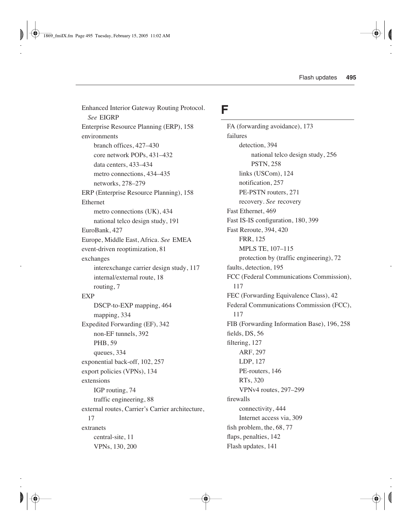Enhanced Interior Gateway Routing Protocol. *See* EIGRP Enterprise Resource Planning (ERP), 158 environments branch offices, 427–430 core network POPs, 431–432 data centers, 433–434 metro connections, 434–435 networks, 278–279 ERP (Enterprise Resource Planning), 158 Ethernet metro connections (UK), 434 national telco design study, 191 EuroBank, 427 Europe, Middle East, Africa. *See* EMEA event-driven reoptimization, 81 exchanges interexchange carrier design study, 117 internal/external route, 18 routing, 7 EXP DSCP-to-EXP mapping, 464 mapping, 334 Expedited Forwarding (EF), 342 non-EF tunnels, 392 PHB, 59 queues, 334 exponential back-off, 102, 257 export policies (VPNs), 134 extensions IGP routing, 74 traffic engineering, 88 external routes, Carrier's Carrier architecture, 17 extranets central-site, 11 VPNs, 130, 200

#### **F**

FA (forwarding avoidance), 173 failures detection, 394 national telco design study, 256 PSTN, 258 links (USCom), 124 notification, 257 PE-PSTN routers, 271 recovery. *See* recovery Fast Ethernet, 469 Fast IS-IS configuration, 180, 399 Fast Reroute, 394, 420 FRR, 125 MPLS TE, 107–115 protection by (traffic engineering), 72 faults, detection, 195 FCC (Federal Communications Commission), 117 FEC (Forwarding Equivalence Class), 42 Federal Communications Commission (FCC), 117 FIB (Forwarding Information Base), 196, 258 fields, DS, 56 filtering, 127 ARF, 297 LDP, 127 PE-routers, 146 RTs, 320 VPNv4 routes, 297–299 firewalls connectivity, 444 Internet access via, 309 fish problem, the, 68, 77 flaps, penalties, 142 Flash updates, 141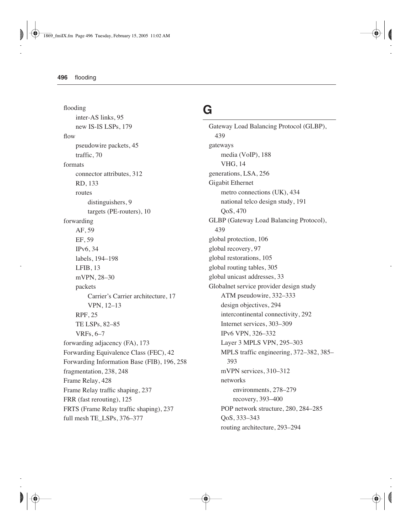flooding inter-AS links, 95 new IS-IS LSPs, 179 flow pseudowire packets, 45 traffic, 70 formats connector attributes, 312 RD, 133 routes distinguishers, 9 targets (PE-routers), 10 forwarding AF, 59 EF, 59 IPv6, 34 labels, 194–198 LFIB, 13 mVPN, 28–30 packets Carrier's Carrier architecture, 17 VPN, 12–13 RPF, 25 TE LSPs, 82–85 VRFs, 6–7 forwarding adjacency (FA), 173 Forwarding Equivalence Class (FEC), 42 Forwarding Information Base (FIB), 196, 258 fragmentation, 238, 248 Frame Relay, 428 Frame Relay traffic shaping, 237 FRR (fast rerouting), 125 FRTS (Frame Relay traffic shaping), 237 full mesh TE\_LSPs, 376–377

### **G**

Gateway Load Balancing Protocol (GLBP), 439 gateways media (VoIP), 188 VHG, 14 generations, LSA, 256 Gigabit Ethernet metro connections (UK), 434 national telco design study, 191 QoS, 470 GLBP (Gateway Load Balancing Protocol), 439 global protection, 106 global recovery, 97 global restorations, 105 global routing tables, 305 global unicast addresses, 33 Globalnet service provider design study ATM pseudowire, 332–333 design objectives, 294 intercontinental connectivity, 292 Internet services, 303–309 IPv6 VPN, 326–332 Layer 3 MPLS VPN, 295–303 MPLS traffic engineering, 372–382, 385– 393 mVPN services, 310–312 networks environments, 278–279 recovery, 393–400 POP network structure, 280, 284–285 QoS, 333–343 routing architecture, 293–294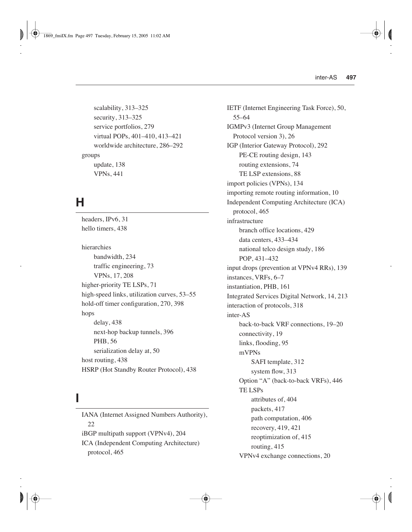scalability, 313–325 security, 313–325 service portfolios, 279 virtual POPs, 401–410, 413–421 worldwide architecture, 286–292 groups update, 138 VPNs, 441

# **H**

headers, IPv6, 31 hello timers, 438

hierarchies bandwidth, 234 traffic engineering, 73 VPNs, 17, 208 higher-priority TE LSPs, 71 high-speed links, utilization curves, 53–55 hold-off timer configuration, 270, 398 hops delay, 438 next-hop backup tunnels, 396 PHB, 56 serialization delay at, 50 host routing, 438 HSRP (Hot Standby Router Protocol), 438

# **I**

IANA (Internet Assigned Numbers Authority), 22 iBGP multipath support (VPNv4), 204 ICA (Independent Computing Architecture) protocol, 465

IETF (Internet Engineering Task Force), 50, 55–64 IGMPv3 (Internet Group Management Protocol version 3), 26 IGP (Interior Gateway Protocol), 292 PE-CE routing design, 143 routing extensions, 74 TE LSP extensions, 88 import policies (VPNs), 134 importing remote routing information, 10 Independent Computing Architecture (ICA) protocol, 465 infrastructure branch office locations, 429 data centers, 433–434 national telco design study, 186 POP, 431–432 input drops (prevention at VPNv4 RRs), 139 instances, VRFs, 6–7 instantiation, PHB, 161 Integrated Services Digital Network, 14, 213 interaction of protocols, 318 inter-AS back-to-back VRF connections, 19–20 connectivity, 19 links, flooding, 95 mVPNs SAFI template, 312 system flow, 313 Option "A" (back-to-back VRFs), 446 TE LSPs attributes of, 404 packets, 417 path computation, 406 recovery, 419, 421 reoptimization of, 415 routing, 415 VPNv4 exchange connections, 20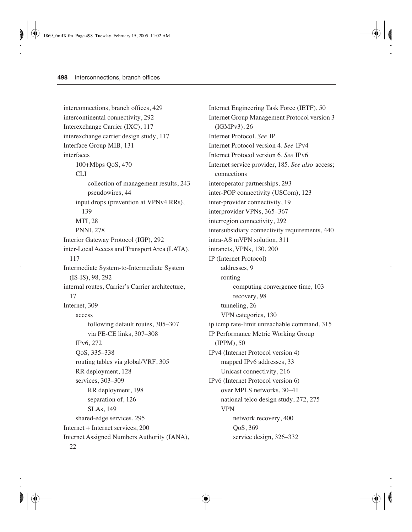interconnections, branch offices, 429 intercontinental connectivity, 292 Interexchange Carrier (IXC), 117 interexchange carrier design study, 117 Interface Group MIB, 131 interfaces 100+Mbps QoS, 470 CLI collection of management results, 243 pseudowires, 44 input drops (prevention at VPNv4 RRs), 139 MTI, 28 PNNI, 278 Interior Gateway Protocol (IGP), 292 inter-Local Access and Transport Area (LATA), 117 Intermediate System-to-Intermediate System (IS-IS), 98, 292 internal routes, Carrier's Carrier architecture, 17 Internet, 309 access following default routes, 305–307 via PE-CE links, 307–308 IPv6, 272 QoS, 335–338 routing tables via global/VRF, 305 RR deployment, 128 services, 303–309 RR deployment, 198 separation of, 126 SLAs, 149 shared-edge services, 295 Internet + Internet services, 200 Internet Assigned Numbers Authority (IANA), 22

Internet Engineering Task Force (IETF), 50 Internet Group Management Protocol version 3 (IGMPv3), 26 Internet Protocol. *See* IP Internet Protocol version 4. *See* IPv4 Internet Protocol version 6. *See* IPv6 Internet service provider, 185. *See also* access; connections interoperator partnerships, 293 inter-POP connectivity (USCom), 123 inter-provider connectivity, 19 interprovider VPNs, 365–367 interregion connectivity, 292 intersubsidiary connectivity requirements, 440 intra-AS mVPN solution, 311 intranets, VPNs, 130, 200 IP (Internet Protocol) addresses, 9 routing computing convergence time, 103 recovery, 98 tunneling, 26 VPN categories, 130 ip icmp rate-limit unreachable command, 315 IP Performance Metric Working Group (IPPM), 50 IPv4 (Internet Protocol version 4) mapped IPv6 addresses, 33 Unicast connectivity, 216 IPv6 (Internet Protocol version 6) over MPLS networks, 30–41 national telco design study, 272, 275 VPN network recovery, 400 QoS, 369 service design, 326–332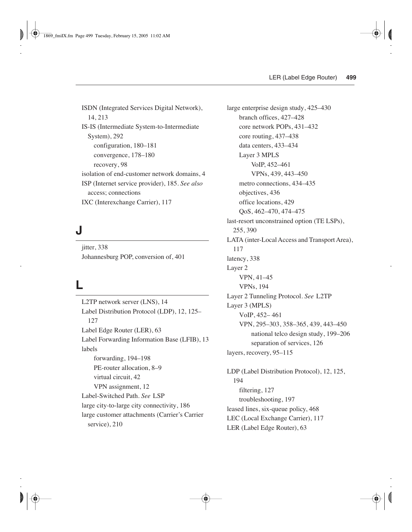ISDN (Integrated Services Digital Network), 14, 213 IS-IS (Intermediate System-to-Intermediate System), 292 configuration, 180–181 convergence, 178–180 recovery, 98 isolation of end-customer network domains, 4 ISP (Internet service provider), 185. *See also* access; connections IXC (Interexchange Carrier), 117

# **J**

jitter, 338 Johannesburg POP, conversion of, 401

# **L**

L2TP network server (LNS), 14 Label Distribution Protocol (LDP), 12, 125– 127 Label Edge Router (LER), 63 Label Forwarding Information Base (LFIB), 13 labels forwarding, 194–198 PE-router allocation, 8–9 virtual circuit, 42 VPN assignment, 12 Label-Switched Path. *See* LSP large city-to-large city connectivity, 186 large customer attachments (Carrier's Carrier service), 210

large enterprise design study, 425–430 branch offices, 427–428 core network POPs, 431–432 core routing, 437–438 data centers, 433–434 Layer 3 MPLS VoIP, 452–461 VPNs, 439, 443–450 metro connections, 434–435 objectives, 436 office locations, 429 QoS, 462–470, 474–475 last-resort unconstrained option (TE LSPs), 255, 390 LATA (inter-Local Access and Transport Area), 117 latency, 338 Layer 2 VPN, 41–45 VPNs, 194 Layer 2 Tunneling Protocol. *See* L2TP Layer 3 (MPLS) VoIP, 452– 461 VPN, 295–303, 358–365, 439, 443–450 national telco design study, 199–206 separation of services, 126 layers, recovery, 95–115 LDP (Label Distribution Protocol), 12, 125, 194 filtering, 127 troubleshooting, 197 leased lines, six-queue policy, 468

LEC (Local Exchange Carrier), 117

LER (Label Edge Router), 63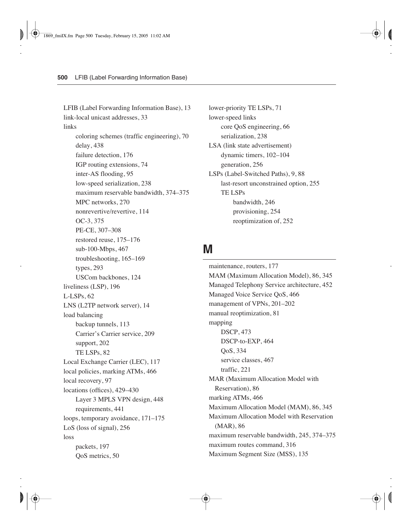LFIB (Label Forwarding Information Base), 13 link-local unicast addresses, 33 links coloring schemes (traffic engineering), 70 delay, 438 failure detection, 176 IGP routing extensions, 74 inter-AS flooding, 95 low-speed serialization, 238 maximum reservable bandwidth, 374–375 MPC networks, 270 nonrevertive/revertive, 114 OC-3, 375 PE-CE, 307–308 restored reuse, 175–176 sub-100-Mbps, 467 troubleshooting, 165–169 types, 293 USCom backbones, 124 liveliness (LSP), 196 L-LSPs, 62 LNS (L2TP network server), 14 load balancing backup tunnels, 113 Carrier's Carrier service, 209 support, 202 TE LSPs, 82 Local Exchange Carrier (LEC), 117 local policies, marking ATMs, 466 local recovery, 97 locations (offices), 429–430 Layer 3 MPLS VPN design, 448 requirements, 441 loops, temporary avoidance, 171–175 LoS (loss of signal), 256 loss packets, 197 QoS metrics, 50

lower-priority TE LSPs, 71 lower-speed links core QoS engineering, 66 serialization, 238 LSA (link state advertisement) dynamic timers, 102–104 generation, 256 LSPs (Label-Switched Paths), 9, 88 last-resort unconstrained option, 255 TE LSPs bandwidth, 246 provisioning, 254 reoptimization of, 252

#### **M**

maintenance, routers, 177 MAM (Maximum Allocation Model), 86, 345 Managed Telephony Service architecture, 452 Managed Voice Service QoS, 466 management of VPNs, 201–202 manual reoptimization, 81 mapping DSCP, 473 DSCP-to-EXP, 464 QoS, 334 service classes, 467 traffic, 221 MAR (Maximum Allocation Model with Reservation), 86 marking ATMs, 466 Maximum Allocation Model (MAM), 86, 345 Maximum Allocation Model with Reservation (MAR), 86 maximum reservable bandwidth, 245, 374–375 maximum routes command, 316 Maximum Segment Size (MSS), 135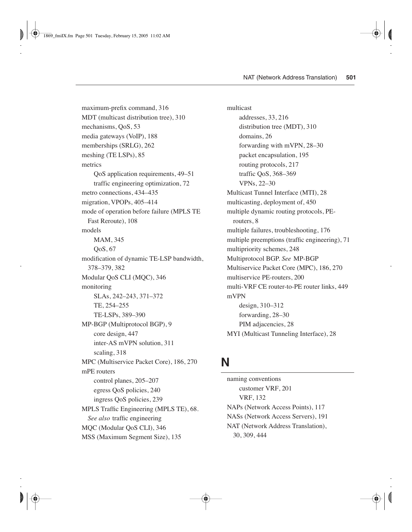maximum-prefix command, 316 MDT (multicast distribution tree), 310 mechanisms, QoS, 53 media gateways (VoIP), 188 memberships (SRLG), 262 meshing (TE LSPs), 85 metrics QoS application requirements, 49–51 traffic engineering optimization, 72 metro connections, 434–435 migration, VPOPs, 405–414 mode of operation before failure (MPLS TE Fast Reroute), 108 models MAM, 345 QoS, 67 modification of dynamic TE-LSP bandwidth, 378–379, 382 Modular QoS CLI (MQC), 346 monitoring SLAs, 242–243, 371–372 TE, 254–255 TE-LSPs, 389–390 MP-BGP (Multiprotocol BGP), 9 core design, 447 inter-AS mVPN solution, 311 scaling, 318 MPC (Multiservice Packet Core), 186, 270 mPE routers control planes, 205–207 egress QoS policies, 240 ingress QoS policies, 239 MPLS Traffic Engineering (MPLS TE), 68. *See also* traffic engineering MQC (Modular QoS CLI), 346 MSS (Maximum Segment Size), 135

multicast addresses, 33, 216 distribution tree (MDT), 310 domains, 26 forwarding with mVPN, 28–30 packet encapsulation, 195 routing protocols, 217 traffic QoS, 368–369 VPNs, 22–30 Multicast Tunnel Interface (MTI), 28 multicasting, deployment of, 450 multiple dynamic routing protocols, PErouters, 8 multiple failures, troubleshooting, 176 multiple preemptions (traffic engineering), 71 multipriority schemes, 248 Multiprotocol BGP. *See* MP-BGP Multiservice Packet Core (MPC), 186, 270 multiservice PE-routers, 200 multi-VRF CE router-to-PE router links, 449 mVPN design, 310–312 forwarding, 28–30 PIM adjacencies, 28 MYI (Multicast Tunneling Interface), 28

### **N**

naming conventions customer VRF, 201 VRF, 132 NAPs (Network Access Points), 117 NASs (Network Access Servers), 191 NAT (Network Address Translation), 30, 309, 444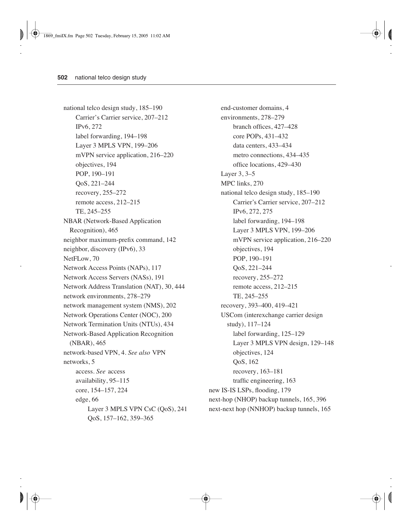national telco design study, 185–190 Carrier's Carrier service, 207–212 IPv6, 272 label forwarding, 194–198 Layer 3 MPLS VPN, 199–206 mVPN service application, 216–220 objectives, 194 POP, 190–191 QoS, 221–244 recovery, 255–272 remote access, 212–215 TE, 245–255 NBAR (Network-Based Application Recognition), 465 neighbor maximum-prefix command, 142 neighbor, discovery (IPv6), 33 NetFLow, 70 Network Access Points (NAPs), 117 Network Access Servers (NASs), 191 Network Address Translation (NAT), 30, 444 network environments, 278–279 network management system (NMS), 202 Network Operations Center (NOC), 200 Network Termination Units (NTUs), 434 Network-Based Application Recognition (NBAR), 465 network-based VPN, 4. *See also* VPN networks, 5 access. *See* access availability, 95–115 core, 154–157, 224 edge, 66 Layer 3 MPLS VPN CsC (QoS), 241 QoS, 157–162, 359–365

end-customer domains, 4 environments, 278–279 branch offices, 427–428 core POPs, 431–432 data centers, 433–434 metro connections, 434–435 office locations, 429–430 Layer 3, 3–5 MPC links, 270 national telco design study, 185–190 Carrier's Carrier service, 207–212 IPv6, 272, 275 label forwarding, 194–198 Layer 3 MPLS VPN, 199–206 mVPN service application, 216–220 objectives, 194 POP, 190–191 QoS, 221–244 recovery, 255–272 remote access, 212–215 TE, 245–255 recovery, 393–400, 419–421 USCom (interexchange carrier design study), 117–124 label forwarding, 125–129 Layer 3 MPLS VPN design, 129–148 objectives, 124 QoS, 162 recovery, 163–181 traffic engineering, 163 new IS-IS LSPs, flooding, 179 next-hop (NHOP) backup tunnels, 165, 396 next-next hop (NNHOP) backup tunnels, 165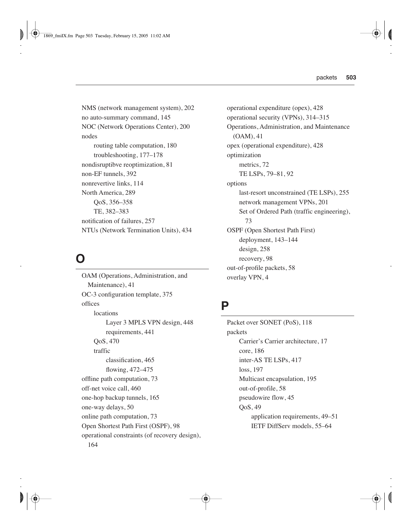NMS (network management system), 202 no auto-summary command, 145 NOC (Network Operations Center), 200 nodes routing table computation, 180 troubleshooting, 177–178 nondisruptibve reoptimization, 81 non-EF tunnels, 392 nonrevertive links, 114 North America, 289 QoS, 356–358 TE, 382–383 notification of failures, 257 NTUs (Network Termination Units), 434

# **O**

OAM (Operations, Administration, and Maintenance), 41 OC-3 configuration template, 375 offices locations Layer 3 MPLS VPN design, 448 requirements, 441 QoS, 470 traffic classification, 465 flowing, 472–475 offline path computation, 73 off-net voice call, 460 one-hop backup tunnels, 165 one-way delays, 50 online path computation, 73 Open Shortest Path First (OSPF), 98 operational constraints (of recovery design), 164

operational expenditure (opex), 428 operational security (VPNs), 314–315 Operations, Administration, and Maintenance (OAM), 41 opex (operational expenditure), 428 optimization metrics, 72 TE LSPs, 79–81, 92 options last-resort unconstrained (TE LSPs), 255 network management VPNs, 201 Set of Ordered Path (traffic engineering), 73 OSPF (Open Shortest Path First) deployment, 143–144 design, 258 recovery, 98 out-of-profile packets, 58 overlay VPN, 4

#### **P**

Packet over SONET (PoS), 118 packets Carrier's Carrier architecture, 17 core, 186 inter-AS TE LSPs, 417 loss, 197 Multicast encapsulation, 195 out-of-profile, 58 pseudowire flow, 45 QoS, 49 application requirements, 49–51 IETF DiffServ models, 55–64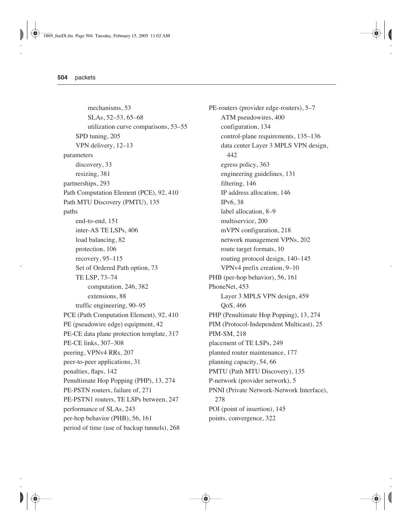mechanisms, 53 SLAs, 52–53, 65–68 utilization curve comparisons, 53–55 SPD tuning, 205 VPN delivery, 12–13 parameters discovery, 33 resizing, 381 partnerships, 293 Path Computation Element (PCE), 92, 410 Path MTU Discovery (PMTU), 135 paths end-to-end, 151 inter-AS TE LSPs, 406 load balancing, 82 protection, 106 recovery, 95–115 Set of Ordered Path option, 73 TE LSP, 73–74 computation, 246, 382 extensions, 88 traffic engineering, 90–95 PCE (Path Computation Element), 92, 410 PE (pseudowire edge) equipment, 42 PE-CE data plane protection template, 317 PE-CE links, 307–308 peering, VPNv4 RRs, 207 peer-to-peer applications, 31 penalties, flaps, 142 Penultimate Hop Popping (PHP), 13, 274 PE-PSTN routers, failure of, 271 PE-PSTN1 routers, TE LSPs between, 247 performance of SLAs, 243 per-hop behavior (PHB), 56, 161 period of time (use of backup tunnels), 268

PE-routers (provider edge-routers), 5–7 ATM pseudowires, 400 configuration, 134 control-plane requirements, 135–136 data center Layer 3 MPLS VPN design, 442 egress policy, 363 engineering guidelines, 131 filtering, 146 IP address allocation, 146 IPv6, 38 label allocation, 8–9 multiservice, 200 mVPN configuration, 218 network management VPNs, 202 route target formats, 10 routing protocol design, 140–145 VPNv4 prefix creation, 9–10 PHB (per-hop behavior), 56, 161 PhoneNet, 453 Layer 3 MPLS VPN design, 459 QoS, 466 PHP (Penultimate Hop Popping), 13, 274 PIM (Protocol-Independent Multicast), 25 PIM-SM, 218 placement of TE LSPs, 249 planned router maintenance, 177 planning capacity, 54, 66 PMTU (Path MTU Discovery), 135 P-network (provider network), 5 PNNI (Private Network-Network Interface), 278 POI (point of insertion), 145 points, convergence, 322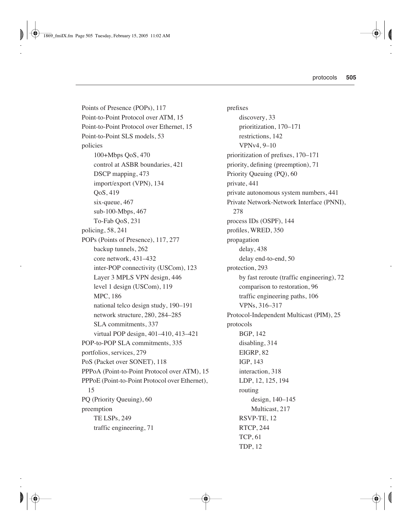Points of Presence (POPs), 117 Point-to-Point Protocol over ATM, 15 Point-to-Point Protocol over Ethernet, 15 Point-to-Point SLS models, 53 policies 100+Mbps QoS, 470 control at ASBR boundaries, 421 DSCP mapping, 473 import/export (VPN), 134 QoS, 419 six-queue, 467 sub-100-Mbps, 467 To-Fab QoS, 231 policing, 58, 241 POPs (Points of Presence), 117, 277 backup tunnels, 262 core network, 431–432 inter-POP connectivity (USCom), 123 Layer 3 MPLS VPN design, 446 level 1 design (USCom), 119 MPC, 186 national telco design study, 190–191 network structure, 280, 284–285 SLA commitments, 337 virtual POP design, 401–410, 413–421 POP-to-POP SLA commitments, 335 portfolios, services, 279 PoS (Packet over SONET), 118 PPPoA (Point-to-Point Protocol over ATM), 15 PPPoE (Point-to-Point Protocol over Ethernet), 15 PQ (Priority Queuing), 60 preemption TE LSPs, 249 traffic engineering, 71

prefixes discovery, 33 prioritization, 170–171 restrictions, 142 VPNv4, 9–10 prioritization of prefixes, 170–171 priority, defining (preemption), 71 Priority Queuing (PQ), 60 private, 441 private autonomous system numbers, 441 Private Network-Network Interface (PNNI), 278 process IDs (OSPF), 144 profiles, WRED, 350 propagation delay, 438 delay end-to-end, 50 protection, 293 by fast reroute (traffic engineering), 72 comparison to restoration, 96 traffic engineering paths, 106 VPNs, 316–317 Protocol-Independent Multicast (PIM), 25 protocols BGP, 142 disabling, 314 EIGRP, 82 IGP, 143 interaction, 318 LDP, 12, 125, 194 routing design, 140–145 Multicast, 217 RSVP-TE, 12 RTCP, 244 TCP, 61 TDP, 12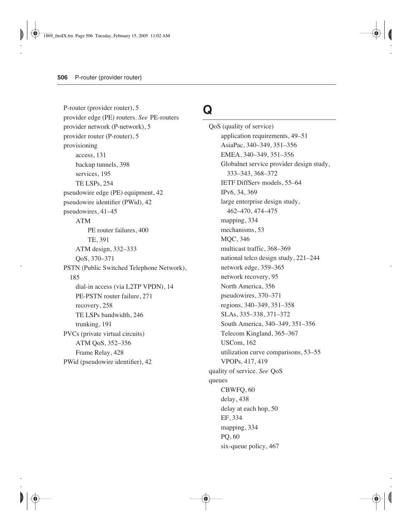P-router (provider router), 5 provider edge (PE) routers. *See* PE-routers provider network (P-network), 5 provider router (P-router), 5 provisioning access, 131 backup tunnels, 398 services, 195 TE LSPs, 254 pseudowire edge (PE) equipment, 42 pseudowire identifier (PWid), 42 pseudowires, 41–45 ATM PE router failures, 400 TE, 391 ATM design, 332–333 QoS, 370–371 PSTN (Public Switched Telephone Network), 185 dial-in access (via L2TP VPDN), 14 PE-PSTN router failure, 271 recovery, 258 TE LSPs bandwidth, 246 trunking, 191 PVCs (private virtual circuits) ATM QoS, 352–356 Frame Relay, 428 PWid (pseudowire identifier), 42

# **Q**

QoS (quality of service) application requirements, 49–51 AsiaPac, 340–349, 351–356 EMEA, 340–349, 351–356 Globalnet service provider design study, 333–343, 368–372 IETF DiffServ models, 55–64 IPv6, 34, 369 large enterprise design study, 462–470, 474–475 mapping, 334 mechanisms, 53 MQC, 346 multicast traffic, 368–369 national telco design study, 221–244 network edge, 359–365 network recovery, 95 North America, 356 pseudowires, 370–371 regions, 340–349, 351–358 SLAs, 335–338, 371–372 South America, 340–349, 351–356 Telecom Kingland, 365–367 USCom, 162 utilization curve comparisons, 53–55 VPOPs, 417, 419 quality of service. *See* QoS queues CBWFQ, 60 delay, 438 delay at each hop, 50 EF, 334 mapping, 334 PQ, 60 six-queue policy, 467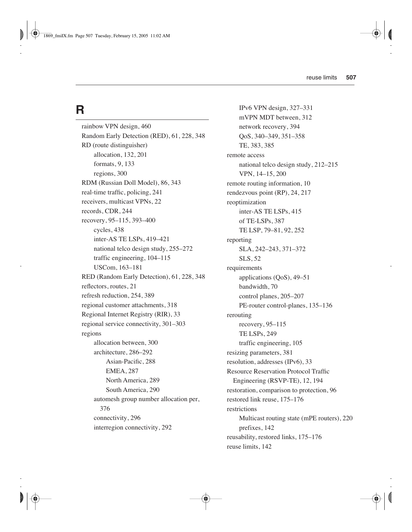# **R**

rainbow VPN design, 460 Random Early Detection (RED), 61, 228, 348 RD (route distinguisher) allocation, 132, 201 formats, 9, 133 regions, 300 RDM (Russian Doll Model), 86, 343 real-time traffic, policing, 241 receivers, multicast VPNs, 22 records, CDR, 244 recovery, 95–115, 393–400 cycles, 438 inter-AS TE LSPs, 419–421 national telco design study, 255–272 traffic engineering, 104–115 USCom, 163–181 RED (Random Early Detection), 61, 228, 348 reflectors, routes, 21 refresh reduction, 254, 389 regional customer attachments, 318 Regional Internet Registry (RIR), 33 regional service connectivity, 301–303 regions allocation between, 300 architecture, 286–292 Asian-Pacific, 288 EMEA, 287 North America, 289 South America, 290 automesh group number allocation per, 376 connectivity, 296 interregion connectivity, 292

IPv6 VPN design, 327–331 mVPN MDT between, 312 network recovery, 394 QoS, 340–349, 351–358 TE, 383, 385 remote access national telco design study, 212–215 VPN, 14–15, 200 remote routing information, 10 rendezvous point (RP), 24, 217 reoptimization inter-AS TE LSPs, 415 of TE-LSPs, 387 TE LSP, 79–81, 92, 252 reporting SLA, 242–243, 371–372 SLS, 52 requirements applications (QoS), 49–51 bandwidth, 70 control planes, 205–207 PE-router control-planes, 135–136 rerouting recovery, 95–115 TE LSPs, 249 traffic engineering, 105 resizing parameters, 381 resolution, addresses (IPv6), 33 Resource Reservation Protocol Traffic Engineering (RSVP-TE), 12, 194 restoration, comparison to protection, 96 restored link reuse, 175–176 restrictions Multicast routing state (mPE routers), 220 prefixes, 142 reusability, restored links, 175–176 reuse limits, 142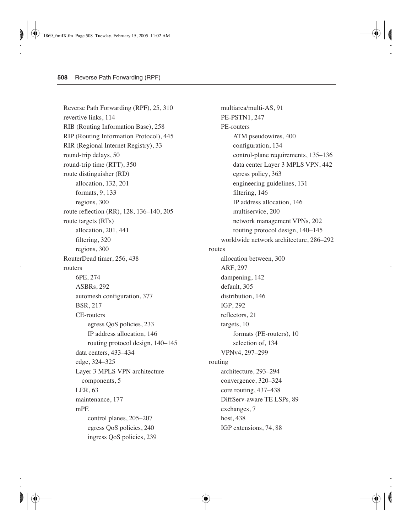Reverse Path Forwarding (RPF), 25, 310 revertive links, 114 RIB (Routing Information Base), 258 RIP (Routing Information Protocol), 445 RIR (Regional Internet Registry), 33 round-trip delays, 50 round-trip time (RTT), 350 route distinguisher (RD) allocation, 132, 201 formats, 9, 133 regions, 300 route reflection (RR), 128, 136–140, 205 route targets (RTs) allocation, 201, 441 filtering, 320 regions, 300 RouterDead timer, 256, 438 routers 6PE, 274 ASBRs, 292 automesh configuration, 377 BSR, 217 CE-routers egress QoS policies, 233 IP address allocation, 146 routing protocol design, 140–145 data centers, 433–434 edge, 324–325 Layer 3 MPLS VPN architecture components, 5 LER, 63 maintenance, 177 mPE control planes, 205–207 egress QoS policies, 240 ingress QoS policies, 239

multiarea/multi-AS, 91 PE-PSTN1, 247 PE-routers ATM pseudowires, 400 configuration, 134 control-plane requirements, 135–136 data center Layer 3 MPLS VPN, 442 egress policy, 363 engineering guidelines, 131 filtering, 146 IP address allocation, 146 multiservice, 200 network management VPNs, 202 routing protocol design, 140–145 worldwide network architecture, 286–292 routes allocation between, 300 ARF, 297 dampening, 142 default, 305 distribution, 146 IGP, 292 reflectors, 21 targets, 10 formats (PE-routers), 10 selection of, 134 VPNv4, 297–299 routing architecture, 293–294 convergence, 320–324 core routing, 437–438 DiffServ-aware TE LSPs, 89 exchanges, 7 host, 438 IGP extensions, 74, 88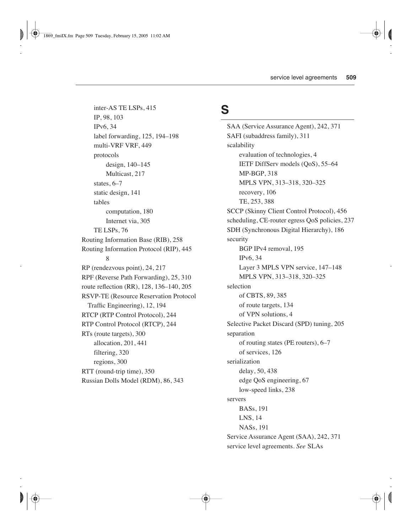inter-AS TE LSPs, 415 IP, 98, 103 IPv6, 34 label forwarding, 125, 194–198 multi-VRF VRF, 449 protocols design, 140–145 Multicast, 217 states, 6–7 static design, 141 tables computation, 180 Internet via, 305 TE LSPs, 76 Routing Information Base (RIB), 258 Routing Information Protocol (RIP), 445 8 RP (rendezvous point), 24, 217 RPF (Reverse Path Forwarding), 25, 310 route reflection (RR), 128, 136–140, 205 RSVP-TE (Resource Reservation Protocol Traffic Engineering), 12, 194 RTCP (RTP Control Protocol), 244 RTP Control Protocol (RTCP), 244 RTs (route targets), 300 allocation, 201, 441 filtering, 320 regions, 300 RTT (round-trip time), 350 Russian Dolls Model (RDM), 86, 343

#### **S**

SAA (Service Assurance Agent), 242, 371 SAFI (subaddress family), 311 scalability evaluation of technologies, 4 IETF DiffServ models (QoS), 55–64 MP-BGP, 318 MPLS VPN, 313–318, 320–325 recovery, 106 TE, 253, 388 SCCP (Skinny Client Control Protocol), 456 scheduling, CE-router egress QoS policies, 237 SDH (Synchronous Digital Hierarchy), 186 security BGP IPv4 removal, 195 IPv6, 34 Layer 3 MPLS VPN service, 147–148 MPLS VPN, 313–318, 320–325 selection of CBTS, 89, 385 of route targets, 134 of VPN solutions, 4 Selective Packet Discard (SPD) tuning, 205 separation of routing states (PE routers), 6–7 of services, 126 serialization delay, 50, 438 edge QoS engineering, 67 low-speed links, 238 servers BASs, 191 LNS, 14 NASs, 191 Service Assurance Agent (SAA), 242, 371 service level agreements. *See* SLAs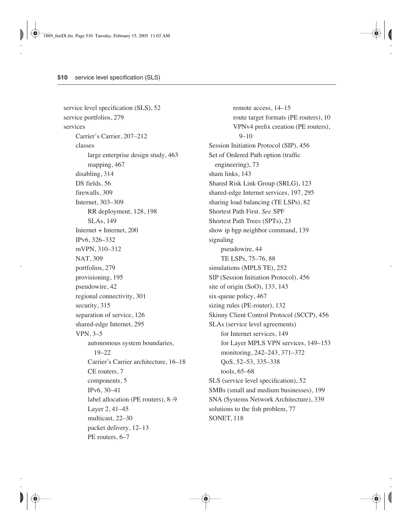service level specification (SLS), 52 service portfolios, 279 services Carrier's Carrier, 207–212 classes large enterprise design study, 463 mapping, 467 disabling, 314 DS fields, 56 firewalls, 309 Internet, 303–309 RR deployment, 128, 198 SLAs, 149 Internet + Internet, 200 IPv6, 326–332 mVPN, 310–312 NAT, 309 portfolios, 279 provisioning, 195 pseudowire, 42 regional connectivity, 301 security, 315 separation of service, 126 shared-edge Internet, 295 VPN, 3–5 autonomous system boundaries, 19–22 Carrier's Carrier architecture, 16–18 CE routers, 7 components, 5 IPv6, 30–41 label allocation (PE routers), 8–9 Layer 2, 41–45 multicast, 22–30 packet delivery, 12–13 PE routers, 6–7

remote access, 14–15 route target formats (PE routers), 10 VPNv4 prefix creation (PE routers),  $9 - 10$ Session Initiation Protocol (SIP), 456 Set of Ordered Path option (traffic engineering), 73 sham links, 143 Shared Risk Link Group (SRLG), 123 shared-edge Internet services, 197, 295 sharing load balancing (TE LSPs), 82 Shortest Path First. *See* SPF Shortest Path Trees (SPTs), 23 show ip bgp neighbor command, 139 signaling pseudowire, 44 TE LSPs, 75–76, 88 simulations (MPLS TE), 252 SIP (Session Initiation Protocol), 456 site of origin (SoO), 133, 143 six-queue policy, 467 sizing rules (PE-router), 132 Skinny Client Control Protocol (SCCP), 456 SLAs (service level agreements) for Internet services, 149 for Layer MPLS VPN services, 149–153 monitoring, 242–243, 371–372 QoS, 52–53, 335–338 tools, 65–68 SLS (service level specification), 52 SMBs (small and medium businesses), 199 SNA (Systems Network Architecture), 339 solutions to the fish problem, 77 SONET, 118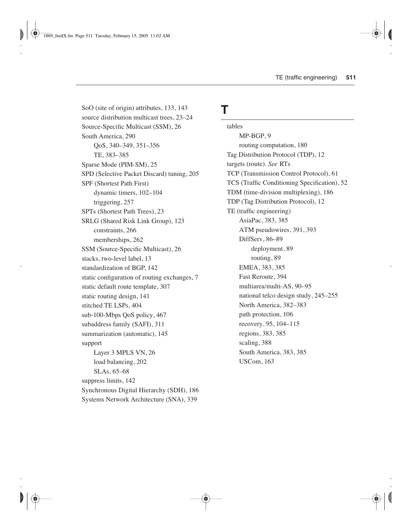SoO (site of origin) attributes, 133, 143 source distribution multicast trees, 23–24 Source-Specific Multicast (SSM), 26 South America, 290 QoS, 340–349, 351–356 TE, 383–385 Sparse Mode (PIM-SM), 25 SPD (Selective Packet Discard) tuning, 205 SPF (Shortest Path First) dynamic timers, 102–104 triggering, 257 SPTs (Shortest Path Trees), 23 SRLG (Shared Risk Link Group), 123 constraints, 266 memberships, 262 SSM (Source-Specific Multicast), 26 stacks, two-level label, 13 standardization of BGP, 142 static configuration of routing exchanges, 7 static default route template, 307 static routing design, 141 stitched TE LSPs, 404 sub-100-Mbps QoS policy, 467 subaddress family (SAFI), 311 summarization (automatic), 145 support Layer 3 MPLS VN, 26 load balancing, 202 SLAs, 65–68 suppress limits, 142 Synchronous Digital Hierarchy (SDH), 186 Systems Network Architecture (SNA), 339

#### **T**

tables MP-BGP, 9 routing computation, 180 Tag Distribution Protocol (TDP), 12 targets (route). *See* RTs TCP (Transmission Control Protocol), 61 TCS (Traffic Conditioning Specification), 52 TDM (time-division multiplexing), 186 TDP (Tag Distribution Protocol), 12 TE (traffic engineering) AsiaPac, 383, 385 ATM pseudowires, 391, 393 DiffServ, 86–89 deployment, 89 routing, 89 EMEA, 383, 385 Fast Reroute, 394 multiarea/multi-AS, 90–95 national telco design study, 245–255 North America, 382–383 path protection, 106 recovery, 95, 104–115 regions, 383, 385 scaling, 388 South America, 383, 385 USCom, 163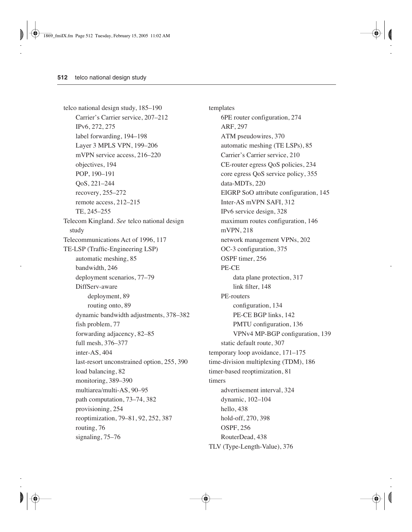telco national design study, 185–190 Carrier's Carrier service, 207–212 IPv6, 272, 275 label forwarding, 194–198 Layer 3 MPLS VPN, 199–206 mVPN service access, 216–220 objectives, 194 POP, 190–191 QoS, 221–244 recovery, 255–272 remote access, 212–215 TE, 245–255 Telecom Kingland. *See* telco national design study Telecommunications Act of 1996, 117 TE-LSP (Traffic-Engineering LSP) automatic meshing, 85 bandwidth, 246 deployment scenarios, 77–79 DiffServ-aware deployment, 89 routing onto, 89 dynamic bandwidth adjustments, 378–382 fish problem, 77 forwarding adjacency, 82–85 full mesh, 376–377 inter-AS, 404 last-resort unconstrained option, 255, 390 load balancing, 82 monitoring, 389–390 multiarea/multi-AS, 90–95 path computation, 73–74, 382 provisioning, 254 reoptimization, 79–81, 92, 252, 387 routing, 76 signaling, 75–76

templates 6PE router configuration, 274 ARF, 297 ATM pseudowires, 370 automatic meshing (TE LSPs), 85 Carrier's Carrier service, 210 CE-router egress QoS policies, 234 core egress QoS service policy, 355 data-MDTs, 220 EIGRP SoO attribute configuration, 145 Inter-AS mVPN SAFI, 312 IPv6 service design, 328 maximum routes configuration, 146 mVPN, 218 network management VPNs, 202 OC-3 configuration, 375 OSPF timer, 256 PE-CE data plane protection, 317 link filter, 148 PE-routers configuration, 134 PE-CE BGP links, 142 PMTU configuration, 136 VPNv4 MP-BGP configuration, 139 static default route, 307 temporary loop avoidance, 171–175 time-division multiplexing (TDM), 186 timer-based reoptimization, 81 timers advertisement interval, 324 dynamic, 102–104 hello, 438 hold-off, 270, 398 OSPF, 256 RouterDead, 438 TLV (Type-Length-Value), 376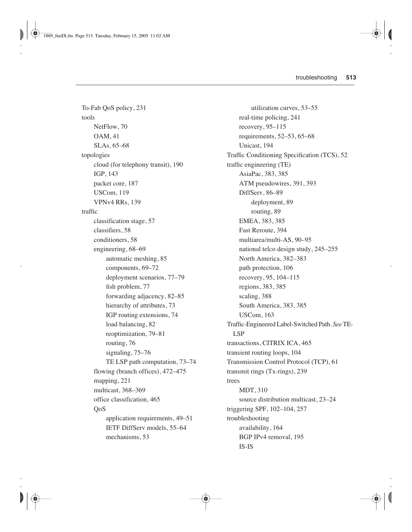To-Fab QoS policy, 231 tools NetFlow, 70 OAM, 41 SLAs, 65–68 topologies cloud (for telephony transit), 190 IGP, 143 packet core, 187 USCom, 119 VPNv4 RRs, 139 traffic classification stage, 57 classifiers, 58 conditioners, 58 engineering, 68–69 automatic meshing, 85 components, 69–72 deployment scenarios, 77–79 fish problem, 77 forwarding adjacency, 82–85 hierarchy of attributes, 73 IGP routing extensions, 74 load balancing, 82 reoptimization, 79–81 routing, 76 signaling, 75–76 TE LSP path computation, 73–74 flowing (branch offices), 472–475 mapping, 221 multicast, 368–369 office classification, 465 QoS application requirements, 49–51 IETF DiffServ models, 55–64 mechanisms, 53

utilization curves, 53–55 real-time policing, 241 recovery, 95–115 requirements, 52–53, 65–68 Unicast, 194 Traffic Conditioning Specification (TCS), 52 traffic engineering (TE) AsiaPac, 383, 385 ATM pseudowires, 391, 393 DiffServ, 86-89 deployment, 89 routing, 89 EMEA, 383, 385 Fast Reroute, 394 multiarea/multi-AS, 90–95 national telco design study, 245–255 North America, 382–383 path protection, 106 recovery, 95, 104–115 regions, 383, 385 scaling, 388 South America, 383, 385 USCom, 163 Traffic-Engineered Label-Switched Path. *See*TE-LSP transactions, CITRIX ICA, 465 transient routing loops, 104 Transmission Control Protocol (TCP), 61 transmit rings (Tx-rings), 239 trees MDT, 310 source distribution multicast, 23–24 triggering SPF, 102–104, 257 troubleshooting availability, 164 BGP IPv4 removal, 195 IS-IS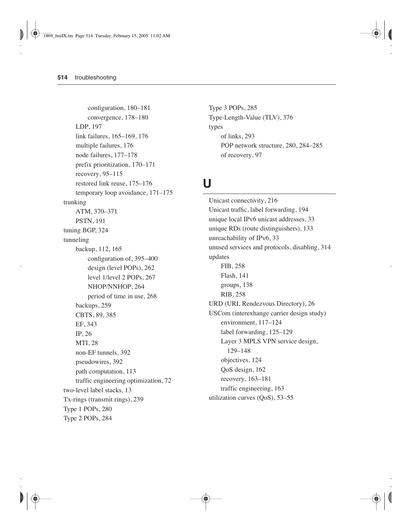configuration, 180–181 convergence, 178–180 LDP, 197 link failures, 165–169, 176 multiple failures, 176 node failures, 177–178 prefix prioritization, 170–171 recovery, 95–115 restored link reuse, 175–176 temporary loop avoidance, 171–175 trunking ATM, 370–371 PSTN, 191 tuning BGP, 324 tunneling backup, 112, 165 configuration of, 395–400 design (level POPs), 262 level 1/level 2 POPs, 267 NHOP/NNHOP, 264 period of time in use, 268 backups, 259 CBTS, 89, 385 EF, 343 IP, 26 MTI, 28 non-EF tunnels, 392 pseudowires, 392 path computation, 113 traffic engineering optimization, 72 two-level label stacks, 13 Tx-rings (transmit rings), 239 Type 1 POPs, 280 Type 2 POPs, 284

Type 3 POPs, 285 Type-Length-Value (TLV), 376 types of links, 293 POP network structure, 280, 284–285 of recovery, 97

#### **U**

Unicast connectivity, 216 Unicast traffic, label forwarding, 194 unique local IPv6 unicast addresses, 33 unique RDs (route distinguishers), 133 unreachability of IPv6, 33 unused services and protocols, disabling, 314 updates FIB, 258 Flash, 141 groups, 138 RIB, 258 URD (URL Rendezvous Directory), 26 USCom (interexhange carrier design study) environment, 117–124 label forwarding, 125–129 Layer 3 MPLS VPN service design, 129–148 objectives, 124 QoS design, 162 recovery, 163–181 traffic engineering, 163 utilization curves (QoS), 53–55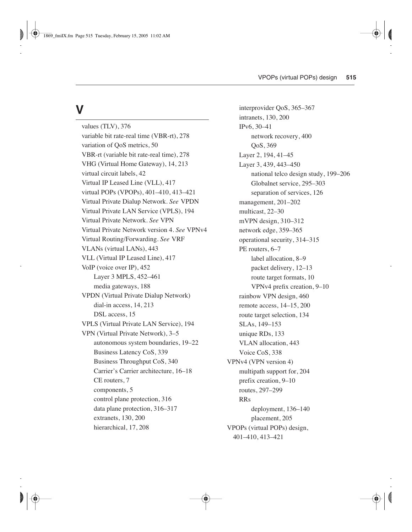# **V**

values (TLV), 376 variable bit rate-real time (VBR-rt), 278 variation of QoS metrics, 50 VBR-rt (variable bit rate-real time), 278 VHG (Virtual Home Gateway), 14, 213 virtual circuit labels, 42 Virtual IP Leased Line (VLL), 417 virtual POPs (VPOPs), 401–410, 413–421 Virtual Private Dialup Network. *See* VPDN Virtual Private LAN Service (VPLS), 194 Virtual Private Network. *See* VPN Virtual Private Network version 4. *See* VPNv4 Virtual Routing/Forwarding. *See* VRF VLANs (virtual LANs), 443 VLL (Virtual IP Leased Line), 417 VoIP (voice over IP), 452 Layer 3 MPLS, 452–461 media gateways, 188 VPDN (Virtual Private Dialup Network) dial-in access, 14, 213 DSL access, 15 VPLS (Virtual Private LAN Service), 194 VPN (Virtual Private Network), 3–5 autonomous system boundaries, 19–22 Business Latency CoS, 339 Business Throughput CoS, 340 Carrier's Carrier architecture, 16–18 CE routers, 7 components, 5 control plane protection, 316 data plane protection, 316–317 extranets, 130, 200 hierarchical, 17, 208

interprovider QoS, 365–367 intranets, 130, 200 IPv6, 30–41 network recovery, 400 QoS, 369 Layer 2, 194, 41–45 Layer 3, 439, 443–450 national telco design study, 199–206 Globalnet service, 295–303 separation of services, 126 management, 201–202 multicast, 22–30 mVPN design, 310–312 network edge, 359–365 operational security, 314–315 PE routers, 6–7 label allocation, 8–9 packet delivery, 12–13 route target formats, 10 VPNv4 prefix creation, 9–10 rainbow VPN design, 460 remote access, 14–15, 200 route target selection, 134 SLAs, 149–153 unique RDs, 133 VLAN allocation, 443 Voice CoS, 338 VPNv4 (VPN version 4) multipath support for, 204 prefix creation, 9–10 routes, 297–299 RRs deployment, 136–140 placement, 205 VPOPs (virtual POPs) design, 401–410, 413–421